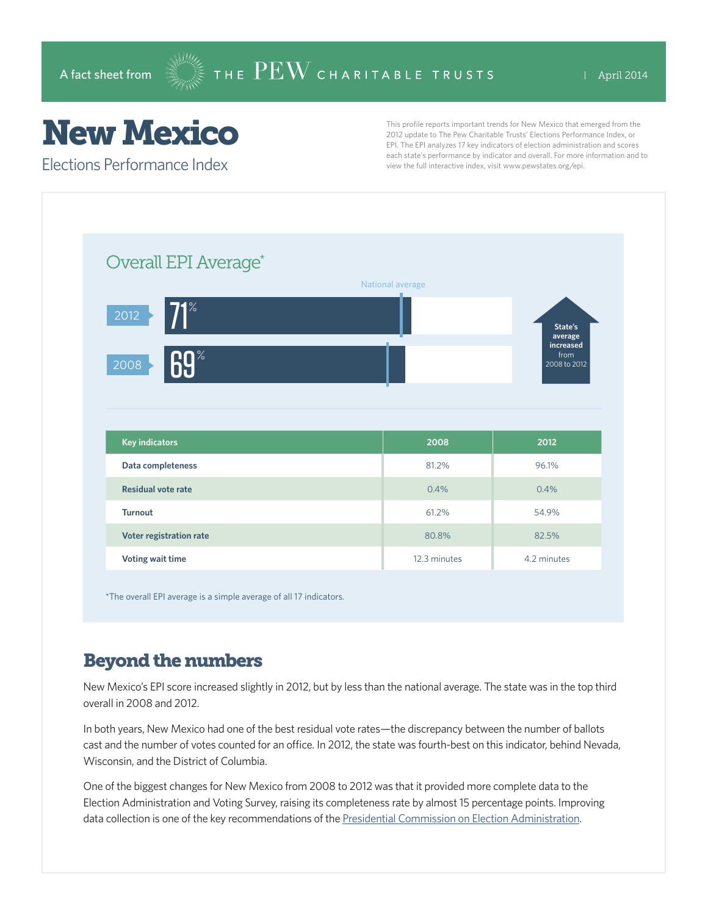## New Mexico

Elections Performance Index

This profile reports important trends for New Mexico that emerged from the 2012 update to The Pew Charitable Trusts' Elections Performance Index, or EPI. The EPI analyzes 17 key indicators of election administration and scores each state's performance by indicator and overall. For more information and to view the full interactive index, visit www.pewstates.org/epi.

| Overall EPI Average*      |                  |                                   |
|---------------------------|------------------|-----------------------------------|
|                           | National average |                                   |
| $71^\circ$<br>2012        |                  | State's<br>average                |
| 69%<br>2008               |                  | increased<br>from<br>2008 to 2012 |
|                           |                  |                                   |
|                           |                  |                                   |
| <b>Key indicators</b>     | 2008             | 2012                              |
| Data completeness         | 81.2%            | 96.1%                             |
| <b>Residual vote rate</b> | 0.4%             | 0.4%                              |
| <b>Turnout</b>            | 61.2%            | 54.9%                             |
| Voter registration rate   | 80.8%            | 82.5%                             |

\*The overall EPI average is a simple average of all 17 indicators.

## Beyond the numbers

New Mexico's EPI score increased slightly in 2012, but by less than the national average. The state was in the top third overall in 2008 and 2012.

In both years, New Mexico had one of the best residual vote rates—the discrepancy between the number of ballots cast and the number of votes counted for an office. In 2012, the state was fourth-best on this indicator, behind Nevada, Wisconsin, and the District of Columbia.

One of the biggest changes for New Mexico from 2008 to 2012 was that it provided more complete data to the Election Administration and Voting Survey, raising its completeness rate by almost 15 percentage points. Improving data collection is one of the key recommendations of the [Presidential Commission on Election Administration](http://www.supportthevoter.gov/).